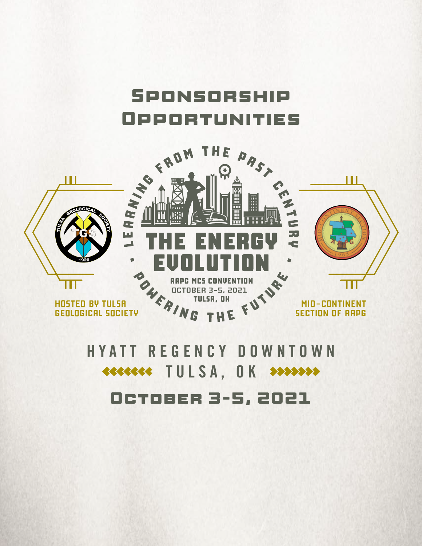



# **HYATT REGENCY DOWNTOWN TULSA, OK >>>>>>>>** October 3-5, 2021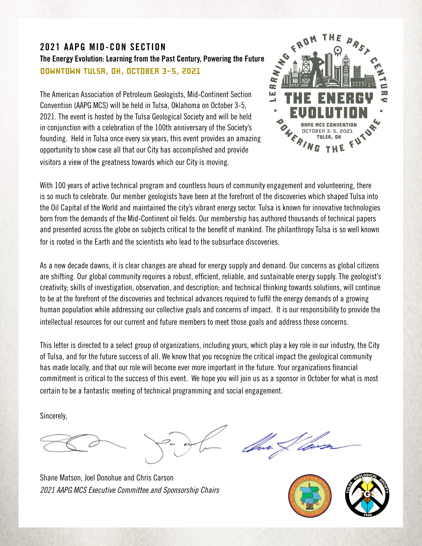### **2021 AAPG MID-CON SECTION The Energy Evolution: Learning from the Past Century, Powering the Future DOWNTOWN TULSA, OK, OCTOBER 3-5, 2021**

The American Association of Petroleum Geologists, Mid-Continent Section Convention (AAPG MCS) will be held in Tulsa, Oklahoma on October 3-5, 2021. The event is hosted by the Tulsa Geological Society and will be held in conjunction with a celebration of the 100th anniversary of the Society's founding. Held in Tulsa once every six years, this event provides an amazing opportunity to show case all that our City has accomplished and provide visitors a view of the greatness towards which our City is moving.



With 100 years of active technical program and countless hours of community engagement and volunteering, there is so much to celebrate. Our member geologists have been at the forefront of the discoveries which shaped Tulsa into the Oil Capital of the World and maintained the city's vibrant energy sector. Tulsa is known for innovative technologies born from the demands of the Mid-Continent oil fields. Our membership has authored thousands of technical papers and presented across the globe on subjects critical to the benefit of mankind. The philanthropy Tulsa is so well known for is rooted in the Earth and the scientists who lead to the subsurface discoveries.

As a new decade dawns, it is clear changes are ahead for energy supply and demand. Our concerns as global citizens are shifting. Our global community requires a robust, efficient, reliable, and sustainable energy supply. The geologist's creativity; skills of investigation, observation, and description; and technical thinking towards solutions, will continue to be at the forefront of the discoveries and technical advances required to fulfil the energy demands of a growing human population while addressing our collective goals and concerns of impact. It is our responsibility to provide the intellectual resources for our current and future members to meet those goals and address those concerns.

This letter is directed to a select group of organizations, including yours, which play a key role in our industry, the City of Tulsa, and for the future success of all. We know that you recognize the critical impact the geological community has made locally, and that our role will become ever more important in the future. Your organizations financial commitment is critical to the success of this event. We hope you will join us as a sponsor in October for what is most certain to be a fantastic meeting of technical programming and social engagement.

Sincerely,



Shane Matson, Joel Donohue and Chris Carson *2021 AAPG MCS Executive Committee and Sponsorship Chairs*



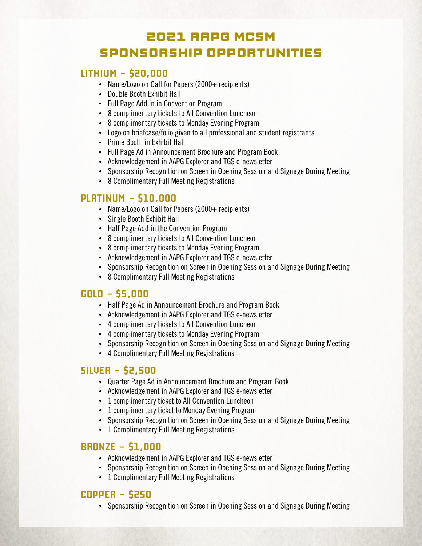# 2021 AAPG MCSM SPONSORSHIP OPPORTUNITIES

## **LITHIUM - \$20,000**

- Name/Logo on Call for Papers (2000+ recipients)
- Double Booth Exhibit Hall
- Full Page Add in in Convention Program
- 8 complimentary tickets to All Convention Luncheon
- 8 complimentary tickets to Monday Evening Program
- Logo on briefcase/folio given to all professional and student registrants
- Prime Booth in Exhibit Hall
- Full Page Ad in Announcement Brochure and Program Book
- Acknowledgement in AAPG Explorer and TGS e-newsletter
- Sponsorship Recognition on Screen in Opening Session and Signage During Meeting
- 8 Complimentary Full Meeting Registrations

### **PLATINUM - \$10,000**

- Name/Logo on Call for Papers (2000+ recipients)
- Single Booth Exhibit Hall
- Half Page Add in the Convention Program
- 8 complimentary tickets to All Convention Luncheon
- 8 complimentary tickets to Monday Evening Program
- Acknowledgement in AAPG Explorer and TGS e-newsletter
- Sponsorship Recognition on Screen in Opening Session and Signage During Meeting
- 8 Complimentary Full Meeting Registrations

#### **GOLD - \$5,000**

- Half Page Ad in Announcement Brochure and Program Book
- Acknowledgement in AAPG Explorer and TGS e-newsletter
- 4 complimentary tickets to All Convention Luncheon
- 4 complimentary tickets to Monday Evening Program
- Sponsorship Recognition on Screen in Opening Session and Signage During Meeting
- 4 Complimentary Full Meeting Registrations

### **SILVER - \$2,500**

- Quarter Page Ad in Announcement Brochure and Program Book
- Acknowledgement in AAPG Explorer and TGS e-newsletter
- 1 complimentary ticket to All Convention Luncheon
- 1 complimentary ticket to Monday Evening Program
- Sponsorship Recognition on Screen in Opening Session and Signage During Meeting
- 1 Complimentary Full Meeting Registrations

### **BRONZE - \$1,000**

- Acknowledgement in AAPG Explorer and TGS e-newsletter
- Sponsorship Recognition on Screen in Opening Session and Signage During Meeting
- 1 Complimentary Full Meeting Registrations

#### **COPPER - \$250**

• Sponsorship Recognition on Screen in Opening Session and Signage During Meeting